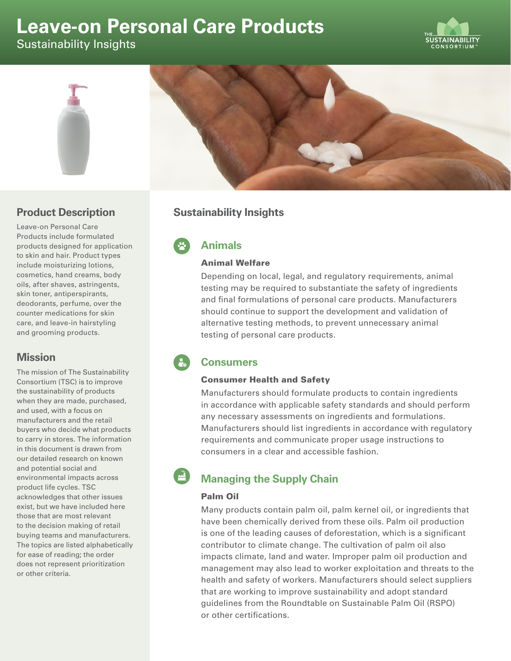# **Leave-on Personal Care Products**

Sustainability Insights





## **Product Description**

Leave-on Personal Care Products include formulated products designed for application to skin and hair. Product types include moisturizing lotions, cosmetics, hand creams, body oils, after shaves, astringents, skin toner, antiperspirants, deodorants, perfume, over the counter medications for skin care, and leave-in hairstyling and grooming products.

# **Mission**

The mission of The Sustainability Consortium (TSC) is to improve the sustainability of products when they are made, purchased, and used, with a focus on manufacturers and the retail buyers who decide what products to carry in stores. The information in this document is drawn from our detailed research on known and potential social and environmental impacts across product life cycles. TSC acknowledges that other issues exist, but we have included here those that are most relevant to the decision making of retail buying teams and manufacturers. The topics are listed alphabetically for ease of reading; the order does not represent prioritization or other criteria.

# **Sustainability Insights**

**Animals**

#### Animal Welfare

Depending on local, legal, and regulatory requirements, animal testing may be required to substantiate the safety of ingredients and final formulations of personal care products. Manufacturers should continue to support the development and validation of alternative testing methods, to prevent unnecessary animal testing of personal care products.

# **Consumers**

## Consumer Health and Safety

Manufacturers should formulate products to contain ingredients in accordance with applicable safety standards and should perform any necessary assessments on ingredients and formulations. Manufacturers should list ingredients in accordance with regulatory requirements and communicate proper usage instructions to consumers in a clear and accessible fashion.

# **Managing the Supply Chain**

## Palm Oil

Many products contain palm oil, palm kernel oil, or ingredients that have been chemically derived from these oils. Palm oil production is one of the leading causes of deforestation, which is a significant contributor to climate change. The cultivation of palm oil also impacts climate, land and water. Improper palm oil production and management may also lead to worker exploitation and threats to the health and safety of workers. Manufacturers should select suppliers that are working to improve sustainability and adopt standard guidelines from the Roundtable on Sustainable Palm Oil (RSPO) or other certifications.